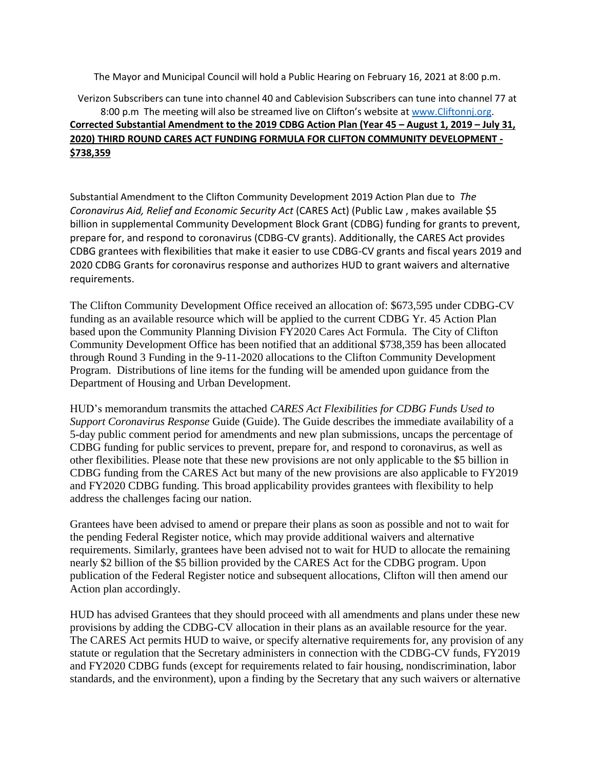The Mayor and Municipal Council will hold a Public Hearing on February 16, 2021 at 8:00 p.m.

## Verizon Subscribers can tune into channel 40 and Cablevision Subscribers can tune into channel 77 at 8:00 p.m The meeting will also be streamed live on Clifton's website at [www.Cliftonnj.org.](http://www.cliftonnj.org/) **Corrected Substantial Amendment to the 2019 CDBG Action Plan (Year 45 – August 1, 2019 – July 31, 2020) THIRD ROUND CARES ACT FUNDING FORMULA FOR CLIFTON COMMUNITY DEVELOPMENT - \$738,359**

Substantial Amendment to the Clifton Community Development 2019 Action Plan due to *The Coronavirus Aid, Relief and Economic Security Act* (CARES Act) (Public Law , makes available \$5 billion in supplemental Community Development Block Grant (CDBG) funding for grants to prevent, prepare for, and respond to coronavirus (CDBG-CV grants). Additionally, the CARES Act provides CDBG grantees with flexibilities that make it easier to use CDBG-CV grants and fiscal years 2019 and 2020 CDBG Grants for coronavirus response and authorizes HUD to grant waivers and alternative requirements.

The Clifton Community Development Office received an allocation of: \$673,595 under CDBG-CV funding as an available resource which will be applied to the current CDBG Yr. 45 Action Plan based upon the Community Planning Division FY2020 Cares Act Formula. The City of Clifton Community Development Office has been notified that an additional \$738,359 has been allocated through Round 3 Funding in the 9-11-2020 allocations to the Clifton Community Development Program. Distributions of line items for the funding will be amended upon guidance from the Department of Housing and Urban Development.

HUD's memorandum transmits the attached *CARES Act Flexibilities for CDBG Funds Used to Support Coronavirus Response* Guide (Guide). The Guide describes the immediate availability of a 5-day public comment period for amendments and new plan submissions, uncaps the percentage of CDBG funding for public services to prevent, prepare for, and respond to coronavirus, as well as other flexibilities. Please note that these new provisions are not only applicable to the \$5 billion in CDBG funding from the CARES Act but many of the new provisions are also applicable to FY2019 and FY2020 CDBG funding. This broad applicability provides grantees with flexibility to help address the challenges facing our nation.

Grantees have been advised to amend or prepare their plans as soon as possible and not to wait for the pending Federal Register notice, which may provide additional waivers and alternative requirements. Similarly, grantees have been advised not to wait for HUD to allocate the remaining nearly \$2 billion of the \$5 billion provided by the CARES Act for the CDBG program. Upon publication of the Federal Register notice and subsequent allocations, Clifton will then amend our Action plan accordingly.

HUD has advised Grantees that they should proceed with all amendments and plans under these new provisions by adding the CDBG-CV allocation in their plans as an available resource for the year. The CARES Act permits HUD to waive, or specify alternative requirements for, any provision of any statute or regulation that the Secretary administers in connection with the CDBG-CV funds, FY2019 and FY2020 CDBG funds (except for requirements related to fair housing, nondiscrimination, labor standards, and the environment), upon a finding by the Secretary that any such waivers or alternative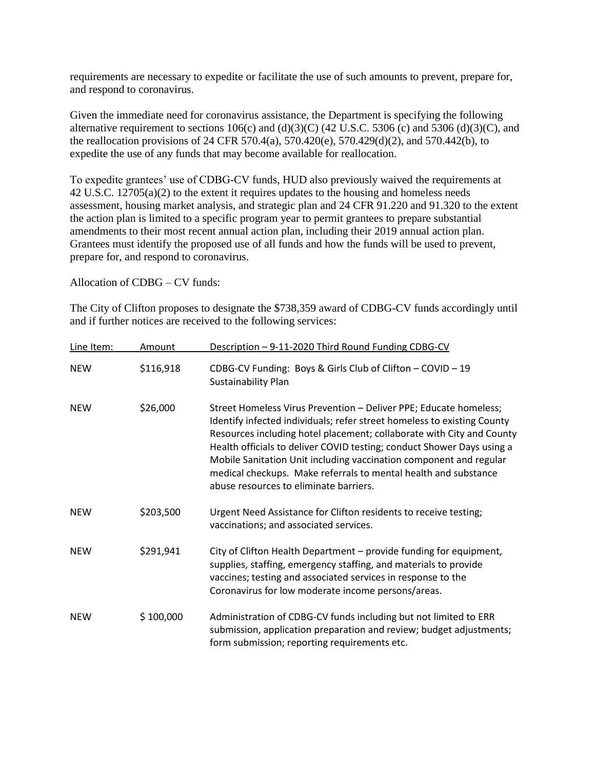requirements are necessary to expedite or facilitate the use of such amounts to prevent, prepare for, and respond to coronavirus.

Given the immediate need for coronavirus assistance, the Department is specifying the following alternative requirement to sections  $106(c)$  and  $(d)(3)(C)$  (42 U.S.C. 5306 (c) and 5306 (d)(3)(C), and the reallocation provisions of 24 CFR 570.4(a), 570.420(e), 570.429(d)(2), and 570.442(b), to expedite the use of any funds that may become available for reallocation.

To expedite grantees' use of CDBG-CV funds, HUD also previously waived the requirements at 42 U.S.C. 12705(a)(2) to the extent it requires updates to the housing and homeless needs assessment, housing market analysis, and strategic plan and 24 CFR 91.220 and 91.320 to the extent the action plan is limited to a specific program year to permit grantees to prepare substantial amendments to their most recent annual action plan, including their 2019 annual action plan. Grantees must identify the proposed use of all funds and how the funds will be used to prevent, prepare for, and respond to coronavirus.

Allocation of CDBG – CV funds:

The City of Clifton proposes to designate the \$738,359 award of CDBG-CV funds accordingly until and if further notices are received to the following services:

| Line Item: | Amount    | Description - 9-11-2020 Third Round Funding CDBG-CV                                                                                                                                                                                                                                                                                                                                                                                                                                |
|------------|-----------|------------------------------------------------------------------------------------------------------------------------------------------------------------------------------------------------------------------------------------------------------------------------------------------------------------------------------------------------------------------------------------------------------------------------------------------------------------------------------------|
| <b>NEW</b> | \$116,918 | CDBG-CV Funding: Boys & Girls Club of Clifton - COVID - 19<br>Sustainability Plan                                                                                                                                                                                                                                                                                                                                                                                                  |
| <b>NEW</b> | \$26,000  | Street Homeless Virus Prevention - Deliver PPE; Educate homeless;<br>Identify infected individuals; refer street homeless to existing County<br>Resources including hotel placement; collaborate with City and County<br>Health officials to deliver COVID testing; conduct Shower Days using a<br>Mobile Sanitation Unit including vaccination component and regular<br>medical checkups. Make referrals to mental health and substance<br>abuse resources to eliminate barriers. |
| <b>NEW</b> | \$203,500 | Urgent Need Assistance for Clifton residents to receive testing;<br>vaccinations; and associated services.                                                                                                                                                                                                                                                                                                                                                                         |
| <b>NEW</b> | \$291,941 | City of Clifton Health Department - provide funding for equipment,<br>supplies, staffing, emergency staffing, and materials to provide<br>vaccines; testing and associated services in response to the<br>Coronavirus for low moderate income persons/areas.                                                                                                                                                                                                                       |
| <b>NEW</b> | \$100,000 | Administration of CDBG-CV funds including but not limited to ERR<br>submission, application preparation and review; budget adjustments;<br>form submission; reporting requirements etc.                                                                                                                                                                                                                                                                                            |